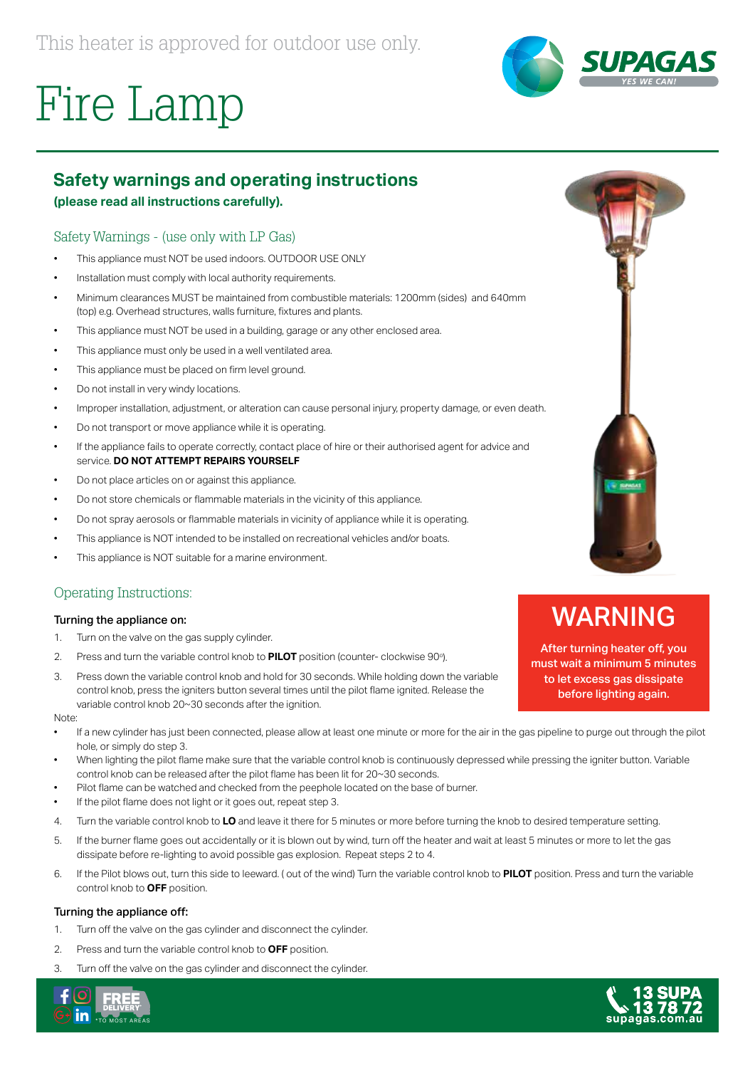This heater is approved for outdoor use only.



# Fire Lamp

# **Safety warnings and operating instructions**

### **(please read all instructions carefully).**

# Safety Warnings - (use only with LP Gas)

- This appliance must NOT be used indoors. OUTDOOR USE ONLY
- Installation must comply with local authority requirements.
- Minimum clearances MUST be maintained from combustible materials: 1200mm (sides) and 640mm (top) e.g. Overhead structures, walls furniture, fixtures and plants.
- This appliance must NOT be used in a building, garage or any other enclosed area.
- This appliance must only be used in a well ventilated area.
- This appliance must be placed on firm level ground.
- Do not install in very windy locations.
- Improper installation, adjustment, or alteration can cause personal injury, property damage, or even death.
- Do not transport or move appliance while it is operating.
- If the appliance fails to operate correctly, contact place of hire or their authorised agent for advice and service. **DO NOT ATTEMPT REPAIRS YOURSELF**
- Do not place articles on or against this appliance.
- Do not store chemicals or flammable materials in the vicinity of this appliance.
- Do not spray aerosols or flammable materials in vicinity of appliance while it is operating.
- This appliance is NOT intended to be installed on recreational vehicles and/or boats.
- This appliance is NOT suitable for a marine environment.

## Operating Instructions:

### Turning the appliance on:

- 1. Turn on the valve on the gas supply cylinder.
- 2. Press and turn the variable control knob to **PILOT** position (counter- clockwise 90°).
- 3. Press down the variable control knob and hold for 30 seconds. While holding down the variable control knob, press the igniters button several times until the pilot flame ignited. Release the variable control knob 20~30 seconds after the ignition.

Note:

- If a new cylinder has just been connected, please allow at least one minute or more for the air in the gas pipeline to purge out through the pilot hole, or simply do step 3.
- When lighting the pilot flame make sure that the variable control knob is continuously depressed while pressing the igniter button. Variable control knob can be released after the pilot flame has been lit for 20~30 seconds.
- Pilot flame can be watched and checked from the peephole located on the base of burner.
- If the pilot flame does not light or it goes out, repeat step 3.
- 4. Turn the variable control knob to **LO** and leave it there for 5 minutes or more before turning the knob to desired temperature setting.
- 5. If the burner flame goes out accidentally or it is blown out by wind, turn off the heater and wait at least 5 minutes or more to let the gas dissipate before re-lighting to avoid possible gas explosion. Repeat steps 2 to 4.
- 6. If the Pilot blows out, turn this side to leeward. ( out of the wind) Turn the variable control knob to **PILOT** position. Press and turn the variable control knob to **OFF** position.

#### Turning the appliance off:

- 1. Turn off the valve on the gas cylinder and disconnect the cylinder.
- 2. Press and turn the variable control knob to **OFF** position.
- 3. Turn off the valve on the gas cylinder and disconnect the cylinder.





# WARNING

After turning heater off, you must wait a minimum 5 minutes to let excess gas dissipate before lighting again.